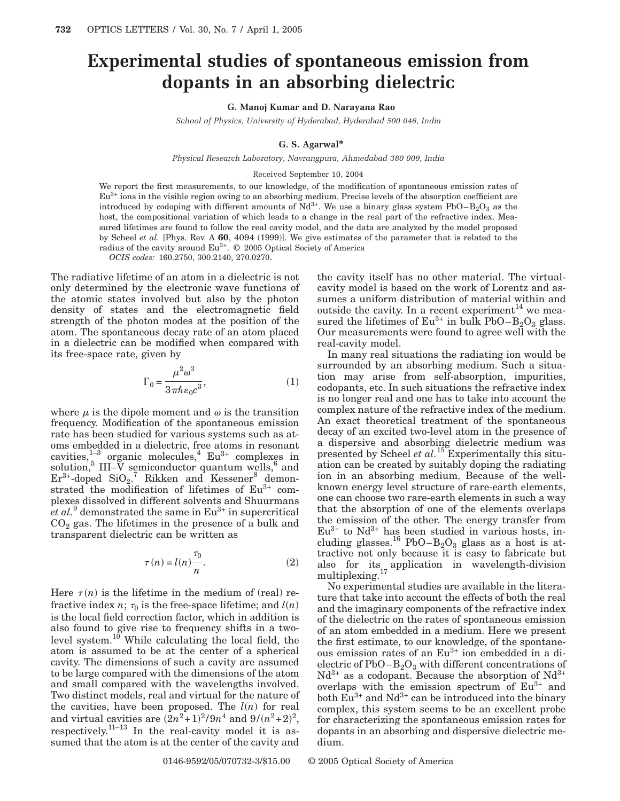# **Experimental studies of spontaneous emission from dopants in an absorbing dielectric**

## **G. Manoj Kumar and D. Narayana Rao**

*School of Physics, University of Hyderabad, Hyderabad 500 046, India*

## **G. S. Agarwal\***

*Physical Research Laboratory, Navrangpura, Ahmedabad 380 009, India*

#### Received September 10, 2004

We report the first measurements, to our knowledge, of the modification of spontaneous emission rates of  $Eu<sup>3+</sup>$  ions in the visible region owing to an absorbing medium. Precise levels of the absorption coefficient are introduced by codoping with different amounts of  $Nd^{3+}$ . We use a binary glass system PbO–B<sub>2</sub>O<sub>3</sub> as the host, the compositional variation of which leads to a change in the real part of the refractive index. Measured lifetimes are found to follow the real cavity model, and the data are analyzed by the model proposed by Scheel *et al.* [Phys. Rev. A **60**, 4094 (1999)]. We give estimates of the parameter that is related to the radius of the cavity around  $Eu^{3+}$ .  $\odot$  2005 Optical Society of America

*OCIS codes:* 160.2750, 300.2140, 270.0270.

The radiative lifetime of an atom in a dielectric is not only determined by the electronic wave functions of the atomic states involved but also by the photon density of states and the electromagnetic field strength of the photon modes at the position of the atom. The spontaneous decay rate of an atom placed in a dielectric can be modified when compared with its free-space rate, given by

$$
\Gamma_0 = \frac{\mu^2 \omega^3}{3 \pi \hbar \varepsilon_0 c^3},\tag{1}
$$

where  $\mu$  is the dipole moment and  $\omega$  is the transition frequency. Modification of the spontaneous emission rate has been studied for various systems such as atoms embedded in a dielectric, free atoms in resonant cavities, $1^{-3}$  organic molecules,<sup>4</sup> Eu<sup>3+</sup> complexes in solution,<sup>5</sup> III–V semiconductor quantum wells,<sup>6</sup> and  $Er<sup>3+</sup>$ -doped  $SiO<sub>2</sub>$ .<sup>7</sup> Rikken and Kessener<sup>8</sup> demonstrated the modification of lifetimes of Eu<sup>3+</sup> complexes dissolved in different solvents and Shuurmans  $et al.<sup>9</sup>$  demonstrated the same in  $Eu<sup>3+</sup>$  in supercritical  $CO<sub>2</sub>$  gas. The lifetimes in the presence of a bulk and transparent dielectric can be written as

$$
\tau(n) = l(n)\frac{\tau_0}{n}.\tag{2}
$$

Here  $\tau(n)$  is the lifetime in the medium of (real) refractive index *n*;  $\tau_0$  is the free-space lifetime; and  $l(n)$ is the local field correction factor, which in addition is also found to give rise to frequency shifts in a twolevel system.<sup>10</sup> While calculating the local field, the atom is assumed to be at the center of a spherical cavity. The dimensions of such a cavity are assumed to be large compared with the dimensions of the atom and small compared with the wavelengths involved. Two distinct models, real and virtual for the nature of the cavities, have been proposed. The  $l(n)$  for real and virtual cavities are  $(2n^2+1)^2/9n^4$  and  $9/(n^2+2)^2$ , respectively.<sup>11–13</sup> In the real-cavity model it is assumed that the atom is at the center of the cavity and

the cavity itself has no other material. The virtualcavity model is based on the work of Lorentz and assumes a uniform distribution of material within and outside the cavity. In a recent experiment<sup>14</sup> we measured the lifetimes of  $Eu^{3+}$  in bulk PbO–B<sub>2</sub>O<sub>3</sub> glass. Our measurements were found to agree well with the real-cavity model.

In many real situations the radiating ion would be surrounded by an absorbing medium. Such a situation may arise from self-absorption, impurities, codopants, etc. In such situations the refractive index is no longer real and one has to take into account the complex nature of the refractive index of the medium. An exact theoretical treatment of the spontaneous decay of an excited two-level atom in the presence of a dispersive and absorbing dielectric medium was presented by Scheel *et al.*<sup>15</sup> Experimentally this situation can be created by suitably doping the radiating ion in an absorbing medium. Because of the wellknown energy level structure of rare-earth elements, one can choose two rare-earth elements in such a way that the absorption of one of the elements overlaps the emission of the other. The energy transfer from  $Eu^{3+}$  to  $Nd^{3+}$  has been studied in various hosts, including glasses.<sup>16</sup> PbO–B<sub>2</sub>O<sub>3</sub> glass as a host is attractive not only because it is easy to fabricate but also for its application in wavelength-division multiplexing.<sup>17</sup>

No experimental studies are available in the literature that take into account the effects of both the real and the imaginary components of the refractive index of the dielectric on the rates of spontaneous emission of an atom embedded in a medium. Here we present the first estimate, to our knowledge, of the spontaneous emission rates of an Eu<sup>3+</sup> ion embedded in a dielectric of  $PbO-B_2O_3$  with different concentrations of  $Nd^{3+}$  as a codopant. Because the absorption of  $Nd^{3+}$ overlaps with the emission spectrum of  $Eu^{3+}$  and both  $\mathrm{Eu}^{3+}$  and  $\mathrm{Nd}^{3+}$  can be introduced into the binary complex, this system seems to be an excellent probe for characterizing the spontaneous emission rates for dopants in an absorbing and dispersive dielectric medium.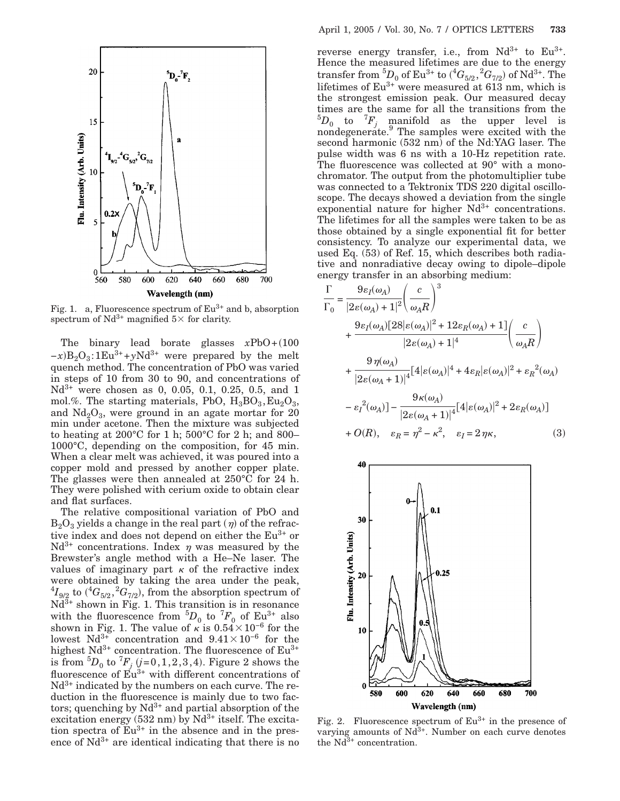

Fig. 1. a, Fluorescence spectrum of  $Eu^{3+}$  and b, absorption spectrum of  $Nd^{3+}$  magnified  $5\times$  for clarity.

The binary lead borate glasses  $xPbO+(100)$  $-x$  $B_2O_3$ :1Eu<sup>3+</sup>+*y*Nd<sup>3+</sup> were prepared by the melt quench method. The concentration of PbO was varied in steps of 10 from 30 to 90, and concentrations of  $Nd^{3+}$  were chosen as 0, 0.05, 0.1, 0.25, 0.5, and 1 mol.%. The starting materials, PbO,  $H_3BO_3$ , Eu<sub>2</sub>O<sub>3</sub>, and  $Nd<sub>2</sub>O<sub>3</sub>$ , were ground in an agate mortar for 20 min under acetone. Then the mixture was subjected to heating at 200 $^{\circ}$ C for 1 h; 500 $^{\circ}$ C for 2 h; and 800-1000°C, depending on the composition, for 45 min. When a clear melt was achieved, it was poured into a copper mold and pressed by another copper plate. The glasses were then annealed at 250°C for 24 h. They were polished with cerium oxide to obtain clear and flat surfaces.

The relative compositional variation of PbO and  $B_2O_3$  yields a change in the real part  $(\eta)$  of the refractive index and does not depend on either the  $Eu^{3+}$  or  $Nd^{3+}$  concentrations. Index  $\eta$  was measured by the Brewster's angle method with a He–Ne laser. The values of imaginary part  $\kappa$  of the refractive index were obtained by taking the area under the peak,  ${}^4I_{9/2}$  to  $({}^4G_{5/2}, {}^2G_{7/2}),$  from the absorption spectrum of  $Nd^{3+}$  shown in Fig. 1. This transition is in resonance with the fluorescence from  ${}^5D_0$  to  ${}^7F_0$  of Eu<sup>3+</sup> also shown in Fig. 1. The value of  $\kappa$  is 0.54 $\times$ 10<sup>-6</sup> for the lowest Nd<sup>3+</sup> concentration and  $9.41 \times 10^{-6}$  for the highest  $Nd^{3+}$  concentration. The fluorescence of  $Eu^{3+}$ is from  ${}^5D_0$  to  ${}^7F_j$  (*j*=0,1,2,3,4). Figure 2 shows the fluorescence of  $\tilde{Eu}^{3+}$  with different concentrations of  $Nd^{3+}$  indicated by the numbers on each curve. The reduction in the fluorescence is mainly due to two factors; quenching by  $Nd^{3+}$  and partial absorption of the excitation energy  $(532 \text{ nm})$  by Nd<sup>3+</sup> itself. The excitation spectra of  $Eu^{3+}$  in the absence and in the presence of  $Nd^{3+}$  are identical indicating that there is no reverse energy transfer, i.e., from  $Nd^{3+}$  to  $Eu^{3+}$ . Hence the measured lifetimes are due to the energy  $\mathrm{transfer\ from\ }^{5}D_{0}\ \mathrm{of\ Eu^{3+}\ to\ }(^{4}G_{5/2},{}^{2}G_{7/2})\ \mathrm{of\ Nd^{3+}. \ The}$ lifetimes of  $Eu^{3+}$  were measured at 613 nm, which is the strongest emission peak. Our measured decay times are the same for all the transitions from the  ${}^5D_0$  to  ${}^7F_j$  manifold as the upper level is nondegenerate.<sup>9</sup> The samples were excited with the second harmonic (532 nm) of the Nd:YAG laser. The pulse width was 6 ns with a 10-Hz repetition rate. The fluorescence was collected at 90° with a monochromator. The output from the photomultiplier tube was connected to a Tektronix TDS 220 digital oscilloscope. The decays showed a deviation from the single exponential nature for higher  $Nd^{3+}$  concentrations. The lifetimes for all the samples were taken to be as those obtained by a single exponential fit for better consistency. To analyze our experimental data, we used Eq. (53) of Ref. 15, which describes both radiative and nonradiative decay owing to dipole–dipole energy transfer in an absorbing medium:

$$
\frac{\Gamma}{\Gamma_0} = \frac{9\varepsilon_I(\omega_A)}{|2\varepsilon(\omega_A) + 1|^2} \left(\frac{c}{\omega_A R}\right)^3
$$
  
+ 
$$
\frac{9\varepsilon_I(\omega_A)[28|\varepsilon(\omega_A)|^2 + 12\varepsilon_R(\omega_A) + 1]}{|2\varepsilon(\omega_A) + 1|^4} \left(\frac{c}{\omega_A R}\right)
$$
  
+ 
$$
\frac{9\eta(\omega_A)}{|2\varepsilon(\omega_A + 1)|^4} [4|\varepsilon(\omega_A)|^4 + 4\varepsilon_R |\varepsilon(\omega_A)|^2 + \varepsilon_R^2(\omega_A)
$$
  
- 
$$
\varepsilon_I^{2}(\omega_A)] - \frac{9\kappa(\omega_A)}{|2\varepsilon(\omega_A + 1)|^4} [4|\varepsilon(\omega_A)|^2 + 2\varepsilon_R(\omega_A)]
$$
  
+ 
$$
O(R), \quad \varepsilon_R = \eta^2 - \kappa^2, \quad \varepsilon_I = 2\eta\kappa,
$$
 (3)

 $\overline{\Gamma}$ 



Fig. 2. Fluorescence spectrum of  $Eu^{3+}$  in the presence of varying amounts of  $Nd^{3+}$ . Number on each curve denotes the  $Nd^{3+}$  concentration.